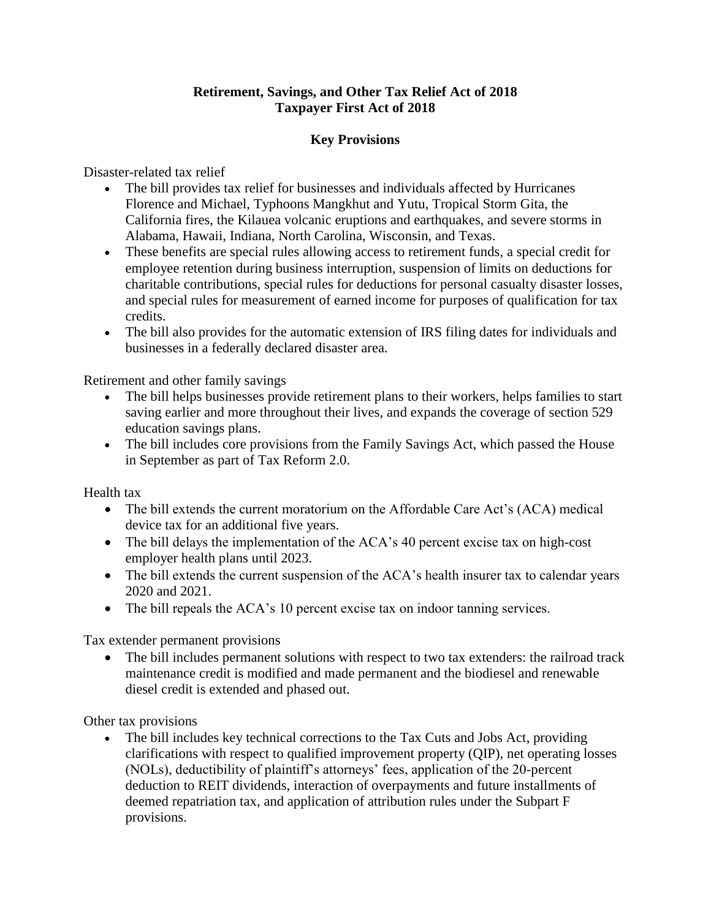## **Retirement, Savings, and Other Tax Relief Act of 2018 Taxpayer First Act of 2018**

## **Key Provisions**

Disaster-related tax relief

- The bill provides tax relief for businesses and individuals affected by Hurricanes Florence and Michael, Typhoons Mangkhut and Yutu, Tropical Storm Gita, the California fires, the Kilauea volcanic eruptions and earthquakes, and severe storms in Alabama, Hawaii, Indiana, North Carolina, Wisconsin, and Texas.
- These benefits are special rules allowing access to retirement funds, a special credit for employee retention during business interruption, suspension of limits on deductions for charitable contributions, special rules for deductions for personal casualty disaster losses, and special rules for measurement of earned income for purposes of qualification for tax credits.
- The bill also provides for the automatic extension of IRS filing dates for individuals and businesses in a federally declared disaster area.

Retirement and other family savings

- The bill helps businesses provide retirement plans to their workers, helps families to start saving earlier and more throughout their lives, and expands the coverage of section 529 education savings plans.
- The bill includes core provisions from the Family Savings Act, which passed the House in September as part of Tax Reform 2.0.

Health tax

- The bill extends the current moratorium on the Affordable Care Act's (ACA) medical device tax for an additional five years.
- The bill delays the implementation of the ACA's 40 percent excise tax on high-cost employer health plans until 2023.
- The bill extends the current suspension of the ACA's health insurer tax to calendar years 2020 and 2021.
- The bill repeals the ACA's 10 percent excise tax on indoor tanning services.

Tax extender permanent provisions

• The bill includes permanent solutions with respect to two tax extenders: the railroad track maintenance credit is modified and made permanent and the biodiesel and renewable diesel credit is extended and phased out.

Other tax provisions

• The bill includes key technical corrections to the Tax Cuts and Jobs Act, providing clarifications with respect to qualified improvement property (QIP), net operating losses (NOLs), deductibility of plaintiff's attorneys' fees, application of the 20-percent deduction to REIT dividends, interaction of overpayments and future installments of deemed repatriation tax, and application of attribution rules under the Subpart F provisions.